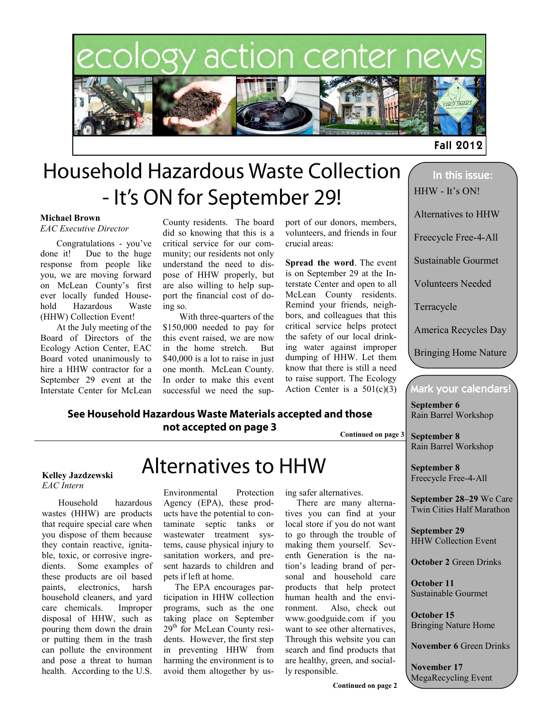# ology action center ne



**Fall 2012** 

# **Household Hazardous Waste Collection** - It's ON for September 29!

#### **Michael Brown**

#### *EAC Executive Director*

Congratulations - you've done it! Due to the huge response from people like you, we are moving forward on McLean County's first ever locally funded Household Hazardous Waste (HHW) Collection Event!

At the July meeting of the Board of Directors of the Ecology Action Center, EAC Board voted unanimously to hire a HHW contractor for a September 29 event at the Interstate Center for McLean County residents. The board did so knowing that this is a critical service for our community; our residents not only understand the need to dispose of HHW properly, but are also willing to help support the financial cost of doing so.

With three-quarters of the \$150,000 needed to pay for this event raised, we are now in the home stretch. But \$40,000 is a lot to raise in just one month. McLean County. In order to make this event successful we need the sup-

See Household Hazardous Waste Materials accepted and those not accepted on page 3

port of our donors, members, volunteers, and friends in four crucial areas:

**Spread the word**. The event is on September 29 at the Interstate Center and open to all McLean County residents. Remind your friends, neighbors, and colleagues that this critical service helps protect the safety of our local drinking water against improper dumping of HHW. Let them know that there is still a need to raise support. The Ecology Action Center is a  $501(c)(3)$ 

**Continued on page 3**

## In this issue: HHW - It's ON! Alternatives to HHW Freecycle Free-4-All Sustainable Gourmet Volunteers Needed Terracycle America Recycles Day Bringing Home Nature

### Mark your calendars!

**September 6**  Rain Barrel Workshop

**September 8**  Rain Barrel Workshop

**Kelley Jazdzewski** *EAC Intern*

Household hazardous wastes (HHW) are products that require special care when you dispose of them because they contain reactive, ignitable, toxic, or corrosive ingredients. Some examples of these products are oil based paints, electronics, harsh household cleaners, and yard care chemicals. Improper disposal of HHW, such as pouring them down the drain or putting them in the trash can pollute the environment and pose a threat to human health. According to the U.S.

## **Alternatives to HHW**

Environmental Protection Agency (EPA), these products have the potential to contaminate septic tanks or wastewater treatment systems, cause physical injury to sanitation workers, and present hazards to children and pets if left at home.

 The EPA encourages participation in HHW collection programs, such as the one taking place on September 29<sup>th</sup> for McLean County residents. However, the first step in preventing HHW from harming the environment is to avoid them altogether by using safer alternatives.

 There are many alternatives you can find at your local store if you do not want to go through the trouble of making them yourself. Seventh Generation is the nation's leading brand of personal and household care products that help protect human health and the environment. Also, check out www.goodguide.com if you want to see other alternatives, Through this website you can search and find products that are healthy, green, and socially responsible.

**September 8**  Freecycle Free-4-All

**September 28–29** We Care

Twin Cities Half Marathon

**September 29**  HHW Collection Event

**October 2** Green Drinks

**October 11**  Sustainable Gourmet

**October 15**  Bringing Nature Home

**November 6** Green Drinks

**November 17**  MegaRecycling Event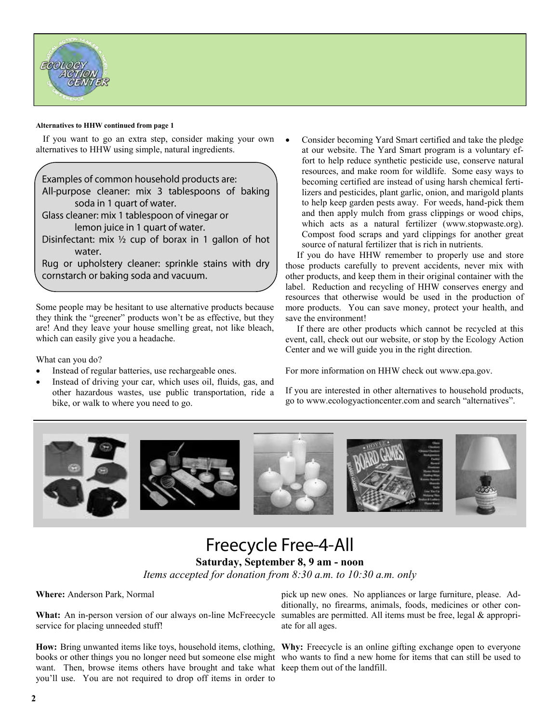

#### **Alternatives to HHW continued from page 1**

 If you want to go an extra step, consider making your own alternatives to HHW using simple, natural ingredients.

Examples of common household products are: All-purpose cleaner: mix 3 tablespoons of baking soda in 1 quart of water. Glass cleaner: mix 1 tablespoon of vinegar or lemon juice in 1 quart of water. Disinfectant: mix  $\frac{1}{2}$  cup of borax in 1 gallon of hot water. Rug or upholstery cleaner: sprinkle stains with dry cornstarch or baking soda and vacuum.

Some people may be hesitant to use alternative products because they think the "greener" products won't be as effective, but they are! And they leave your house smelling great, not like bleach, which can easily give you a headache.

What can you do?

- Instead of regular batteries, use rechargeable ones.
- Instead of driving your car, which uses oil, fluids, gas, and other hazardous wastes, use public transportation, ride a bike, or walk to where you need to go.

 Consider becoming Yard Smart certified and take the pledge at our website. The Yard Smart program is a voluntary effort to help reduce synthetic pesticide use, conserve natural resources, and make room for wildlife. Some easy ways to becoming certified are instead of using harsh chemical fertilizers and pesticides, plant garlic, onion, and marigold plants to help keep garden pests away. For weeds, hand-pick them and then apply mulch from grass clippings or wood chips, which acts as a natural fertilizer (www.stopwaste.org). Compost food scraps and yard clippings for another great source of natural fertilizer that is rich in nutrients.

 If you do have HHW remember to properly use and store those products carefully to prevent accidents, never mix with other products, and keep them in their original container with the label. Reduction and recycling of HHW conserves energy and resources that otherwise would be used in the production of more products. You can save money, protect your health, and save the environment!

 If there are other products which cannot be recycled at this event, call, check out our website, or stop by the Ecology Action Center and we will guide you in the right direction.

For more information on HHW check out www.epa.gov.

If you are interested in other alternatives to household products, go to www.ecologyactioncenter.com and search "alternatives".



### **Freecycle Free-4-All Saturday, September 8, 9 am - noon**

*Items accepted for donation from 8:30 a.m. to 10:30 a.m. only*

**Where:** Anderson Park, Normal

What: An in-person version of our always on-line McFreecycle sumables are permitted. All items must be free, legal & appropriservice for placing unneeded stuff!

want. Then, browse items others have brought and take what keep them out of the landfill. you'll use. You are not required to drop off items in order to

pick up new ones. No appliances or large furniture, please. Additionally, no firearms, animals, foods, medicines or other conate for all ages.

How: Bring unwanted items like toys, household items, clothing, Why: Freecycle is an online gifting exchange open to everyone books or other things you no longer need but someone else might who wants to find a new home for items that can still be used to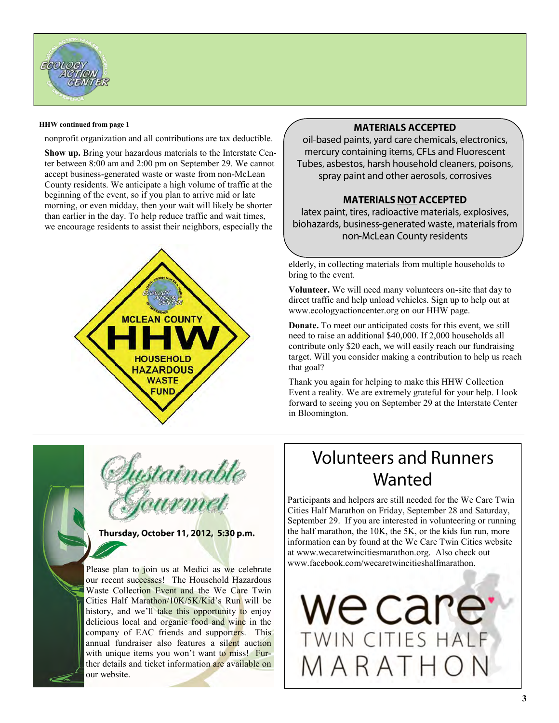

#### **HHW continued from page 1**

nonprofit organization and all contributions are tax deductible.

**Show up.** Bring your hazardous materials to the Interstate Center between 8:00 am and 2:00 pm on September 29. We cannot accept business-generated waste or waste from non-McLean County residents. We anticipate a high volume of traffic at the beginning of the event, so if you plan to arrive mid or late morning, or even midday, then your wait will likely be shorter than earlier in the day. To help reduce traffic and wait times, we encourage residents to assist their neighbors, especially the



#### **MATERIALS ACCEPTED**

oil-based paints, yard care chemicals, electronics, mercury containing items, CFLs and Fluorescent Tubes, asbestos, harsh household cleaners, poisons, spray paint and other aerosols, corrosives

#### **MATERIALS NOT ACCEPTED**

latex paint, tires, radioactive materials, explosives, biohazards, business-generated waste, materials from non-McLean County residents

elderly, in collecting materials from multiple households to bring to the event.

**Volunteer.** We will need many volunteers on-site that day to direct traffic and help unload vehicles. Sign up to help out at www.ecologyactioncenter.org on our HHW page.

**Donate.** To meet our anticipated costs for this event, we still need to raise an additional \$40,000. If 2,000 households all contribute only \$20 each, we will easily reach our fundraising target. Will you consider making a contribution to help us reach that goal?

Thank you again for helping to make this HHW Collection Event a reality. We are extremely grateful for your help. I look forward to seeing you on September 29 at the Interstate Center in Bloomington.



Thursday, October 11, 2012, 5:30 p.m.

Please plan to join us at Medici as we celebrate our recent successes! The Household Hazardous Waste Collection Event and the We Care Twin Cities Half Marathon/10K/5K/Kid's Run will be history, and we'll take this opportunity to enjoy delicious local and organic food and wine in the company of EAC friends and supporters. This annual fundraiser also features a silent auction with unique items you won't want to miss! Further details and ticket information are available on our website.

### **Volunteers and Runners** Wanted

Participants and helpers are still needed for the We Care Twin Cities Half Marathon on Friday, September 28 and Saturday, September 29. If you are interested in volunteering or running the half marathon, the 10K, the 5K, or the kids fun run, more information can by found at the We Care Twin Cities website at www.wecaretwincitiesmarathon.org. Also check out www.facebook.com/wecaretwincitieshalfmarathon.

we care WIN CITIES HALF 1 A R A T H O N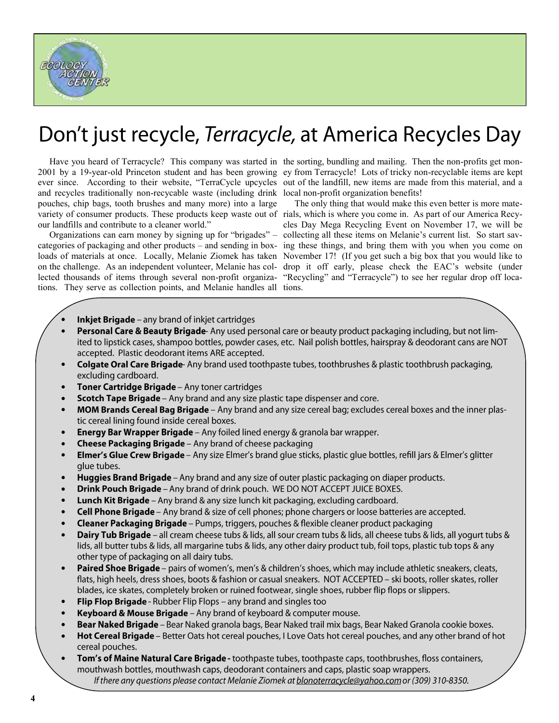

# Don't just recycle, Terracycle, at America Recycles Day

 Have you heard of Terracycle? This company was started in the sorting, bundling and mailing. Then the non-profits get monand recycles traditionally non-recycable waste (including drink local non-profit organization benefits! pouches, chip bags, tooth brushes and many more) into a large variety of consumer products. These products keep waste out of rials, which is where you come in. As part of our America Recyour landfills and contribute to a cleaner world."

 Organizations can earn money by signing up for "brigades" – collecting all these items on Melanie's current list. So start savcategories of packaging and other products – and sending in boxlected thousands of items through several non-profit organizations. They serve as collection points, and Melanie handles all tions.

2001 by a 19-year-old Princeton student and has been growing ey from Terracycle! Lots of tricky non-recyclable items are kept ever since. According to their website, "TerraCycle upcycles out of the landfill, new items are made from this material, and a

loads of materials at once. Locally, Melanie Ziomek has taken November 17! (If you get such a big box that you would like to on the challenge. As an independent volunteer, Melanie has col-drop it off early, please check the EAC's website (under The only thing that would make this even better is more matecles Day Mega Recycling Event on November 17, we will be ing these things, and bring them with you when you come on "Recycling" and "Terracycle") to see her regular drop off loca-

- $\bullet$ **Inkjet Brigade** – any brand of inkjet cartridges
- Personal Care & Beauty Brigade-Any used personal care or beauty product packaging including, but not lim- $\bullet$ ited to lipstick cases, shampoo bottles, powder cases, etc. Nail polish bottles, hairspray & deodorant cans are NOT accepted. Plastic deodorant items ARE accepted.
- $\bullet$ Colgate Oral Care Brigade-Any brand used toothpaste tubes, toothbrushes & plastic toothbrush packaging, excluding cardboard.
- Toner Cartridge Brigade Any toner cartridges  $\bullet$
- Scotch Tape Brigade Any brand and any size plastic tape dispenser and core.  $\bullet$
- $\bullet$ MOM Brands Cereal Bag Brigade - Any brand and any size cereal bag; excludes cereal boxes and the inner plastic cereal lining found inside cereal boxes.
- Energy Bar Wrapper Brigade Any foiled lined energy & granola bar wrapper.  $\bullet$
- $\bullet$ **Cheese Packaging Brigade** – Any brand of cheese packaging
- $\bullet$ Elmer's Glue Crew Brigade - Any size Elmer's brand glue sticks, plastic glue bottles, refill jars & Elmer's glitter glue tubes.
- $\bullet$ Huggies Brand Brigade - Any brand and any size of outer plastic packaging on diaper products.
- $\bullet$ **Drink Pouch Brigade** – Any brand of drink pouch. WE DO NOT ACCEPT JUICE BOXES.
- $\bullet$ **Lunch Kit Brigade** – Any brand & any size lunch kit packaging, excluding cardboard.
- Cell Phone Brigade Any brand & size of cell phones; phone chargers or loose batteries are accepted.  $\bullet$
- $\bullet$ **Cleaner Packaging Brigade** – Pumps, triggers, pouches & flexible cleaner product packaging
- **Dairy Tub Brigade** all cream cheese tubs & lids, all sour cream tubs & lids, all cheese tubs & lids, all yogurt tubs &  $\bullet$ lids, all butter tubs & lids, all margarine tubs & lids, any other dairy product tub, foil tops, plastic tub tops & any other type of packaging on all dairy tubs.
- Paired Shoe Brigade pairs of women's, men's & children's shoes, which may include athletic sneakers, cleats,  $\bullet$ flats, high heels, dress shoes, boots & fashion or casual sneakers. NOT ACCEPTED - ski boots, roller skates, roller blades, ice skates, completely broken or ruined footwear, single shoes, rubber flip flops or slippers.
- $\bullet$ Flip Flop Brigade - Rubber Flip Flops - any brand and singles too
- $\bullet$ Keyboard & Mouse Brigade - Any brand of keyboard & computer mouse.
- $\bullet$ Bear Naked Brigade - Bear Naked granola bags, Bear Naked trail mix bags, Bear Naked Granola cookie boxes.
- $\bullet$ Hot Cereal Brigade - Better Oats hot cereal pouches, I Love Oats hot cereal pouches, and any other brand of hot cereal pouches.
- Tom's of Maine Natural Care Brigade toothpaste tubes, toothpaste caps, toothbrushes, floss containers,  $\bullet$ mouthwash bottles, mouthwash caps, deodorant containers and caps, plastic soap wrappers. If there any questions please contact Melanie Ziomek at blonoterracycle@yahoo.com or (309) 310-8350.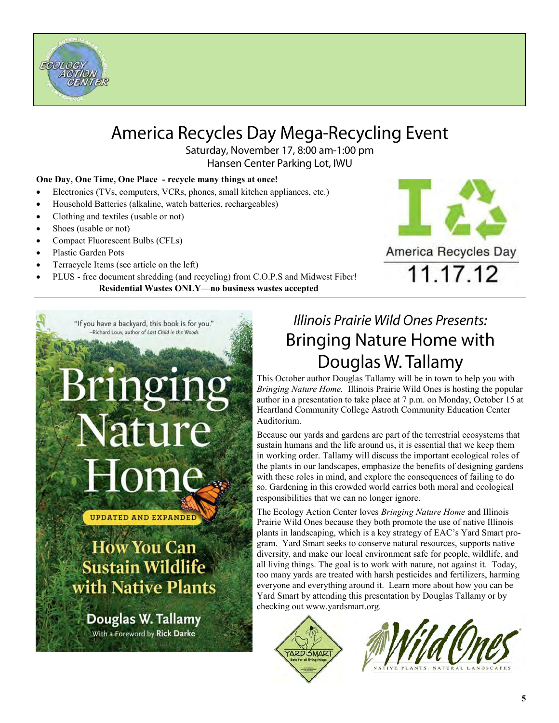

### America Recycles Day Mega-Recycling Event

Saturday, November 17, 8:00 am-1:00 pm Hansen Center Parking Lot, IWU

#### **One Day, One Time, One Place - recycle many things at once!**

- Electronics (TVs, computers, VCRs, phones, small kitchen appliances, etc.)
- Household Batteries (alkaline, watch batteries, rechargeables)
- Clothing and textiles (usable or not)
- Shoes (usable or not)
- Compact Fluorescent Bulbs (CFLs)
- Plastic Garden Pots
- Terracycle Items (see article on the left)
- PLUS free document shredding (and recycling) from C.O.P.S and Midwest Fiber! **Residential Wastes ONLY—no business wastes accepted**



"If you have a backyard, this book is for you." Richard Louv, author of Last Child in the Woods Nature ome

**UPDATED AND EXPANDED** 

**How You Can Sustain Wildlife** with Native Plants

Douglas W. Tallamy With a Foreword by Rick Darke

### Illinois Prairie Wild Ones Presents: **Bringing Nature Home with** Douglas W. Tallamy

This October author Douglas Tallamy will be in town to help you with *Bringing Nature Home.* Illinois Prairie Wild Ones is hosting the popular author in a presentation to take place at 7 p.m. on Monday, October 15 at Heartland Community College Astroth Community Education Center Auditorium.

Because our yards and gardens are part of the terrestrial ecosystems that sustain humans and the life around us, it is essential that we keep them in working order. Tallamy will discuss the important ecological roles of the plants in our landscapes, emphasize the benefits of designing gardens with these roles in mind, and explore the consequences of failing to do so. Gardening in this crowded world carries both moral and ecological responsibilities that we can no longer ignore.

The Ecology Action Center loves *Bringing Nature Home* and Illinois Prairie Wild Ones because they both promote the use of native Illinois plants in landscaping, which is a key strategy of EAC's Yard Smart program. Yard Smart seeks to conserve natural resources, supports native diversity, and make our local environment safe for people, wildlife, and all living things. The goal is to work with nature, not against it. Today, too many yards are treated with harsh pesticides and fertilizers, harming everyone and everything around it. Learn more about how you can be Yard Smart by attending this presentation by Douglas Tallamy or by checking out www.yardsmart.org.